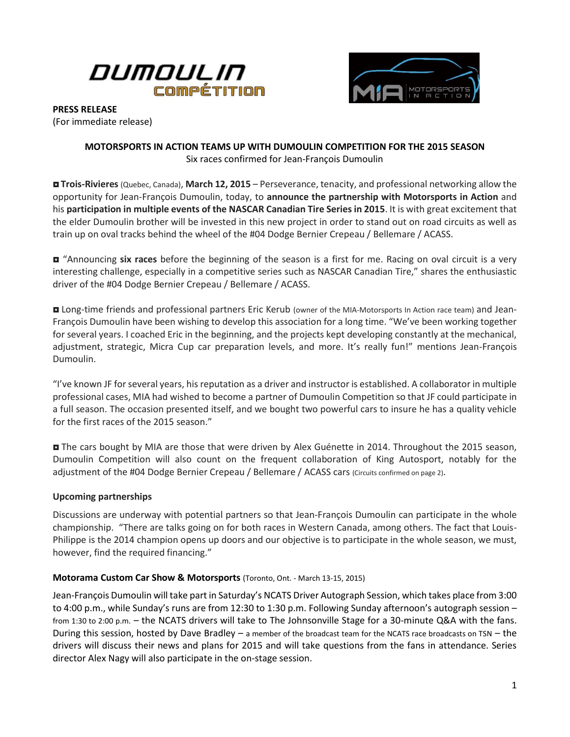



**PRESS RELEASE**

(For immediate release)

## **MOTORSPORTS IN ACTION TEAMS UP WITH DUMOULIN COMPETITION FOR THE 2015 SEASON** Six races confirmed for Jean-François Dumoulin

 **Trois-Rivieres** (Quebec, Canada), **March 12, 2015** – Perseverance, tenacity, and professional networking allow the opportunity for Jean-François Dumoulin, today, to **announce the partnership with Motorsports in Action** and his **participation in multiple events of the NASCAR Canadian Tire Series in 2015**. It is with great excitement that the elder Dumoulin brother will be invested in this new project in order to stand out on road circuits as well as train up on oval tracks behind the wheel of the #04 Dodge Bernier Crepeau / Bellemare / ACASS.

 "Announcing **six races** before the beginning of the season is a first for me. Racing on oval circuit is a very interesting challenge, especially in a competitive series such as NASCAR Canadian Tire," shares the enthusiastic driver of the #04 Dodge Bernier Crepeau / Bellemare / ACASS.

■ Long-time friends and professional partners Eric Kerub (owner of the MIA-Motorsports In Action race team) and Jean-François Dumoulin have been wishing to develop this association for a long time. "We've been working together for several years. I coached Eric in the beginning, and the projects kept developing constantly at the mechanical, adjustment, strategic, Micra Cup car preparation levels, and more. It's really fun!" mentions Jean-François Dumoulin.

"I've known JF for several years, his reputation as a driver and instructor is established. A collaborator in multiple professional cases, MIA had wished to become a partner of Dumoulin Competition so that JF could participate in a full season. The occasion presented itself, and we bought two powerful cars to insure he has a quality vehicle for the first races of the 2015 season."

 The cars bought by MIA are those that were driven by Alex Guénette in 2014. Throughout the 2015 season, Dumoulin Competition will also count on the frequent collaboration of King Autosport, notably for the adjustment of the #04 Dodge Bernier Crepeau / Bellemare / ACASS cars (Circuits confirmed on page 2).

### **Upcoming partnerships**

Discussions are underway with potential partners so that Jean-François Dumoulin can participate in the whole championship. "There are talks going on for both races in Western Canada, among others. The fact that Louis-Philippe is the 2014 champion opens up doors and our objective is to participate in the whole season, we must, however, find the required financing."

### **Motorama Custom Car Show & Motorsports** (Toronto, Ont. - March 13-15, 2015)

Jean-François Dumoulin will take part in Saturday's NCATS Driver Autograph Session, which takes place from 3:00 to 4:00 p.m., while Sunday's runs are from 12:30 to 1:30 p.m. Following Sunday afternoon's autograph session – from 1:30 to 2:00 p.m. – the NCATS drivers will take to The Johnsonville Stage for a 30-minute Q&A with the fans. During this session, hosted by Dave Bradley – a member of the broadcast team for the NCATS race broadcasts on TSN – the drivers will discuss their news and plans for 2015 and will take questions from the fans in attendance. Series director Alex Nagy will also participate in the on-stage session.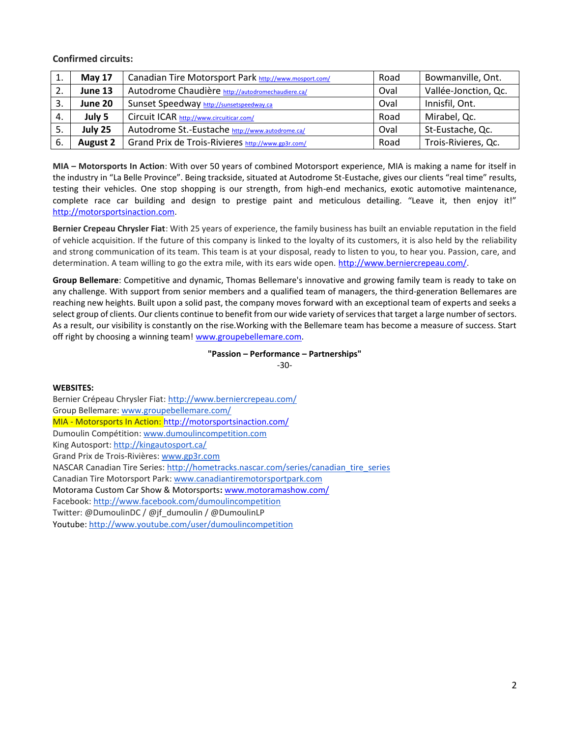**Confirmed circuits:**

| 工.  | <b>May 17</b>   | Canadian Tire Motorsport Park http://www.mosport.com/ | Road | Bowmanville, Ont.    |
|-----|-----------------|-------------------------------------------------------|------|----------------------|
| 2.  | June 13         | Autodrome Chaudière http://autodromechaudiere.ca/     | Oval | Vallée-Jonction, Qc. |
| 3.  | June 20         | Sunset Speedway http://sunsetspeedway.ca              | Oval | Innisfil, Ont.       |
| 4.  | July 5          | Circuit ICAR http://www.circuiticar.com/              | Road | Mirabel, Qc.         |
| -5. | July 25         | Autodrome St.-Eustache http://www.autodrome.ca/       | Oval | St-Eustache, Qc.     |
| -6. | <b>August 2</b> | Grand Prix de Trois-Rivieres http://www.gp3r.com/     | Road | Trois-Rivieres, Qc.  |

**MIA – Motorsports In Action**: With over 50 years of combined Motorsport experience, MIA is making a name for itself in the industry in "La Belle Province". Being trackside, situated at Autodrome St-Eustache, gives our clients "real time" results, testing their vehicles. One stop shopping is our strength, from high-end mechanics, exotic automotive maintenance, complete race car building and design to prestige paint and meticulous detailing. "Leave it, then enjoy it!" [http://motorsportsinaction.com.](http://motorsportsinaction.com/)

**Bernier Crepeau Chrysler Fiat**: With 25 years of experience, the family business has built an enviable reputation in the field of vehicle acquisition. If the future of this company is linked to the loyalty of its customers, it is also held by the reliability and strong communication of its team. This team is at your disposal, ready to listen to you, to hear you. Passion, care, and determination. A team willing to go the extra mile, with its ears wide open. [http://www.berniercrepeau.com/.](http://www.berniercrepeau.com/)

**Group Bellemare**: Competitive and dynamic, Thomas Bellemare's innovative and growing family team is ready to take on any challenge. With support from senior members and a qualified team of managers, the third-generation Bellemares are reaching new heights. Built upon a solid past, the company moves forward with an exceptional team of experts and seeks a select group of clients. Our clients continue to benefit from our wide variety of services that target a large number of sectors. As a result, our visibility is constantly on the rise.Working with the Bellemare team has become a measure of success. Start off right by choosing a winning team! [www.groupebellemare.com.](http://www.groupebellemare.com/)

#### **"Passion – Performance – Partnerships"** -30-

**WEBSITES:**

Bernier Crépeau Chrysler Fiat[: http://www.berniercrepeau.com/](http://www.berniercrepeau.com/) Group Bellemare: [www.groupebellemare.com/](http://www.groupebellemare.com/) MIA - Motorsports In Action[: http://motorsportsinaction.com/](http://motorsportsinaction.com/) Dumoulin Compétition: [www.dumoulincompetition.com](http://www.dumoulincompetition.com/) King Autosport: <http://kingautosport.ca/> Grand Prix de Trois-Rivières: [www.gp3r.com](http://www.gp3r.com/) NASCAR Canadian Tire Series: [http://hometracks.nascar.com/series/canadian\\_tire\\_series](http://hometracks.nascar.com/series/canadian_tire_series) Canadian Tire Motorsport Park: [www.canadiantiremotorsportpark.com](http://www.canadiantiremotorsportpark.com/) Motorama Custom Car Show & Motorsports**:** [www.motoramashow.com/](http://www.motoramashow.com/) Facebook: <http://www.facebook.com/dumoulincompetition> Twitter: @DumoulinDC / @jf\_dumoulin / @DumoulinLP Youtube: <http://www.youtube.com/user/dumoulincompetition>